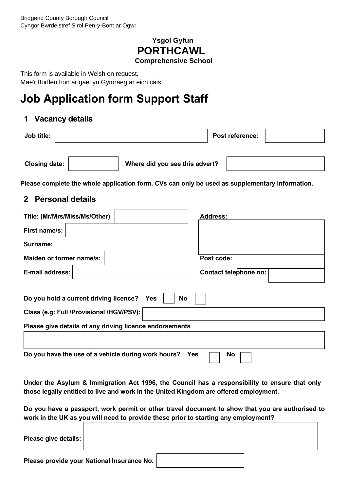### **Ysgol Gyfun PORTHCAWL Comprehensive School**

This form is available in Welsh on request. Mae'r ffurflen hon ar gael yn Gymraeg ar eich cais.

# **Job Application form Support Staff**

### **1 Vacancy details**

| Job title:           |                                | <b>Post reference:</b> |  |
|----------------------|--------------------------------|------------------------|--|
|                      |                                |                        |  |
| <b>Closing date:</b> | Where did you see this advert? |                        |  |

**Please complete the whole application form. CVs can only be used as supplementary information.**

### **2 Personal details**

| Title: (Mr/Mrs/Miss/Ms/Other)                           | <b>Address:</b>       |
|---------------------------------------------------------|-----------------------|
| First name/s:                                           |                       |
| Surname:                                                |                       |
| Maiden or former name/s:                                | Post code:            |
| E-mail address:                                         | Contact telephone no: |
| Do you hold a current driving licence?<br>Yes           | No                    |
| Class (e.g: Full /Provisional /HGV/PSV):                |                       |
| Please give details of any driving licence endorsements |                       |
|                                                         |                       |
| Do you have the use of a vehicle during work hours?     | Yes<br><b>No</b>      |

**Under the Asylum & Immigration Act 1996, the Council has a responsibility to ensure that only those legally entitled to live and work in the United Kingdom are offered employment.** 

**Do you have a passport, work permit or other travel document to show that you are authorised to work in the UK as you will need to provide these prior to starting any employment?**  ٦

| Please give details: |                                                   |  |
|----------------------|---------------------------------------------------|--|
|                      | Please provide your National Insurance No. $\mid$ |  |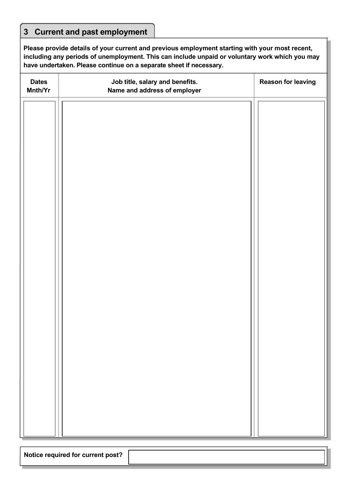## **3 Current and past employment**

**Please provide details of your current and previous employment starting with your most recent, including any periods of unemployment. This can include unpaid or voluntary work which you may have undertaken. Please continue on a separate sheet if necessary.** 

| <b>Dates</b><br>Mnth/Yr | Job title, salary and benefits.<br>Name and address of employer | <b>Reason for leaving</b> |
|-------------------------|-----------------------------------------------------------------|---------------------------|
|                         |                                                                 |                           |
|                         |                                                                 |                           |
|                         |                                                                 |                           |
|                         |                                                                 |                           |
|                         |                                                                 |                           |
|                         |                                                                 |                           |
|                         |                                                                 |                           |
|                         |                                                                 |                           |
|                         |                                                                 |                           |
|                         |                                                                 |                           |
|                         |                                                                 |                           |
|                         |                                                                 |                           |
|                         |                                                                 |                           |
|                         |                                                                 |                           |
|                         |                                                                 |                           |
|                         |                                                                 |                           |

**Notice required for current post?**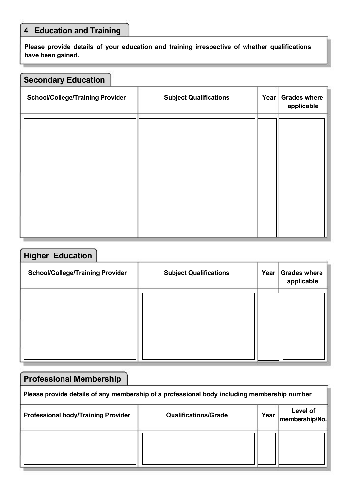# **4 Education and Training**

**Please provide details of your education and training irrespective of whether qualifications have been gained.** 

| <b>Secondary Education</b>              |                               |      |                                   |
|-----------------------------------------|-------------------------------|------|-----------------------------------|
| <b>School/College/Training Provider</b> | <b>Subject Qualifications</b> | Year | <b>Grades where</b><br>applicable |
|                                         |                               |      |                                   |
|                                         |                               |      |                                   |
|                                         |                               |      |                                   |
|                                         |                               |      |                                   |
|                                         |                               |      |                                   |

| <b>Higher Education</b>                 |                               |      |                                   |
|-----------------------------------------|-------------------------------|------|-----------------------------------|
| <b>School/College/Training Provider</b> | <b>Subject Qualifications</b> | Year | <b>Grades where</b><br>applicable |
|                                         |                               |      |                                   |
|                                         |                               |      |                                   |
|                                         |                               |      |                                   |
|                                         |                               |      |                                   |

| <b>Professional Membership</b>                                                              |                             |      |                             |  |  |
|---------------------------------------------------------------------------------------------|-----------------------------|------|-----------------------------|--|--|
| Please provide details of any membership of a professional body including membership number |                             |      |                             |  |  |
| <b>Professional body/Training Provider</b>                                                  | <b>Qualifications/Grade</b> | Year | Level of<br> membership/No. |  |  |
|                                                                                             |                             |      |                             |  |  |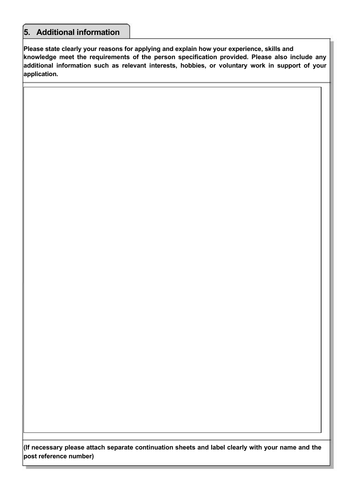### **5. Additional information**

**Please state clearly your reasons for applying and explain how your experience, skills and knowledge meet the requirements of the person specification provided. Please also include any additional information such as relevant interests, hobbies, or voluntary work in support of your application.** 

**(If necessary please attach separate continuation sheets and label clearly with your name and the post reference number)**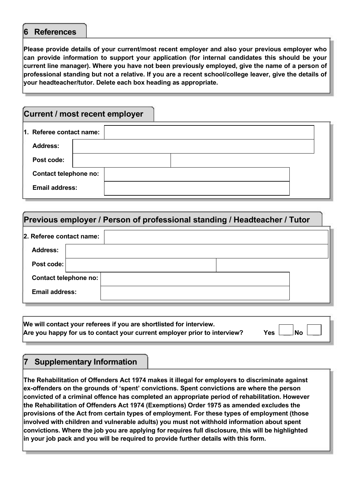#### **6 References**

**Please provide details of your current/most recent employer and also your previous employer who can provide information to support your application (for internal candidates this should be your current line manager). Where you have not been previously employed, give the name of a person of professional standing but not a relative. If you are a recent school/college leaver, give the details of your headteacher/tutor. Delete each box heading as appropriate.** 

# **Current / most recent employer 1. Referee contact name: Address: Post code: Contact telephone no: Email address:**

### **Previous employer / Person of professional standing / Headteacher / Tutor**

| 2. Referee contact name: |  |  |  |  |
|--------------------------|--|--|--|--|
| <b>Address:</b>          |  |  |  |  |
| Post code:               |  |  |  |  |
| Contact telephone no:    |  |  |  |  |
| <b>Email address:</b>    |  |  |  |  |

**We will contact your referees if you are shortlisted for interview. Are you happy for us to contact your current employer prior to interview? Yes No**

### **7 Supplementary Information**

**The Rehabilitation of Offenders Act 1974 makes it illegal for employers to discriminate against ex-offenders on the grounds of 'spent' convictions. Spent convictions are where the person convicted of a criminal offence has completed an appropriate period of rehabilitation. However the Rehabilitation of Offenders Act 1974 (Exemptions) Order 1975 as amended excludes the provisions of the Act from certain types of employment. For these types of employment (those involved with children and vulnerable adults) you must not withhold information about spent convictions. Where the job you are applying for requires full disclosure, this will be highlighted in your job pack and you will be required to provide further details with this form.**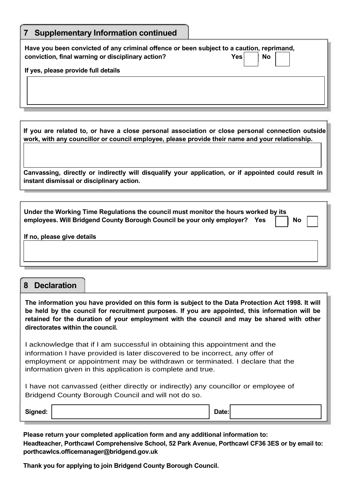| <b>Supplementary Information continued</b><br>$\mathbf{7}$                                                                                                                                          |  |  |  |  |  |
|-----------------------------------------------------------------------------------------------------------------------------------------------------------------------------------------------------|--|--|--|--|--|
| Have you been convicted of any criminal offence or been subject to a caution, reprimand,<br><b>Yes</b><br><b>No</b><br>conviction, final warning or disciplinary action?                            |  |  |  |  |  |
| If yes, please provide full details                                                                                                                                                                 |  |  |  |  |  |
|                                                                                                                                                                                                     |  |  |  |  |  |
| If you are related to, or have a close personal association or close personal connection outside<br>work, with any councillor or council employee, please provide their name and your relationship. |  |  |  |  |  |
| Canvassing, directly or indirectly will disqualify your application, or if appointed could result in<br>instant dismissal or disciplinary action.                                                   |  |  |  |  |  |

| Under the Working Time Regulations the council must monitor the hours worked by its<br>employees. Will Bridgend County Borough Council be your only employer?  Yes | <b>No</b> |  |
|--------------------------------------------------------------------------------------------------------------------------------------------------------------------|-----------|--|
| If no, please give details                                                                                                                                         |           |  |

#### **8 Declaration**

**The information you have provided on this form is subject to the Data Protection Act 1998. It will be held by the council for recruitment purposes. If you are appointed, this information will be retained for the duration of your employment with the council and may be shared with other directorates within the council.** 

I acknowledge that if I am successful in obtaining this appointment and the information I have provided is later discovered to be incorrect, any offer of employment or appointment may be withdrawn or terminated. I declare that the information given in this application is complete and true.

I have not canvassed (either directly or indirectly) any councillor or employee of Bridgend County Borough Council and will not do so.

**Signed: Date:**

**Please return your completed application form and any additional information to: Headteacher, Porthcawl Comprehensive School, 52 Park Avenue, Porthcawl CF36 3ES or by email to: porthcawlcs.officemanager@bridgend.gov.uk** 

**Thank you for applying to join Bridgend County Borough Council.**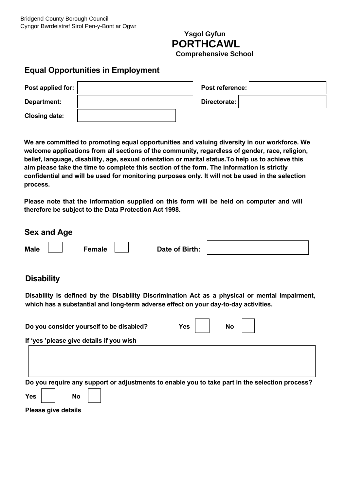### **Ysgol Gyfun PORTHCAWL Comprehensive School**

### **Equal Opportunities in Employment**

| Post applied for:    |  | Post reference: |  |
|----------------------|--|-----------------|--|
| Department:          |  | Directorate:    |  |
| <b>Closing date:</b> |  |                 |  |

**We are committed to promoting equal opportunities and valuing diversity in our workforce. We welcome applications from all sections of the community, regardless of gender, race, religion, belief, language, disability, age, sexual orientation or marital status.To help us to achieve this aim please take the time to complete this section of the form. The information is strictly confidential and will be used for monitoring purposes only. It will not be used in the selection process.** 

**Please note that the information supplied on this form will be held on computer and will therefore be subject to the Data Protection Act 1998.** 

|             | <b>Sex and Age</b> |        |                |  |
|-------------|--------------------|--------|----------------|--|
| <b>Male</b> |                    | Female | Date of Birth: |  |

### **Disability**

**Disability is defined by the Disability Discrimination Act as a physical or mental impairment, which has a substantial and long-term adverse effect on your day-to-day activities.** 

|            |           | Do you consider yourself to be disabled?                                                       | <b>Yes</b> | <b>No</b> |  |
|------------|-----------|------------------------------------------------------------------------------------------------|------------|-----------|--|
|            |           | If 'yes 'please give details if you wish                                                       |            |           |  |
|            |           |                                                                                                |            |           |  |
|            |           |                                                                                                |            |           |  |
|            |           | Do you require any support or adjustments to enable you to take part in the selection process? |            |           |  |
|            |           |                                                                                                |            |           |  |
| <b>Yes</b> | <b>No</b> |                                                                                                |            |           |  |

**Please give details**